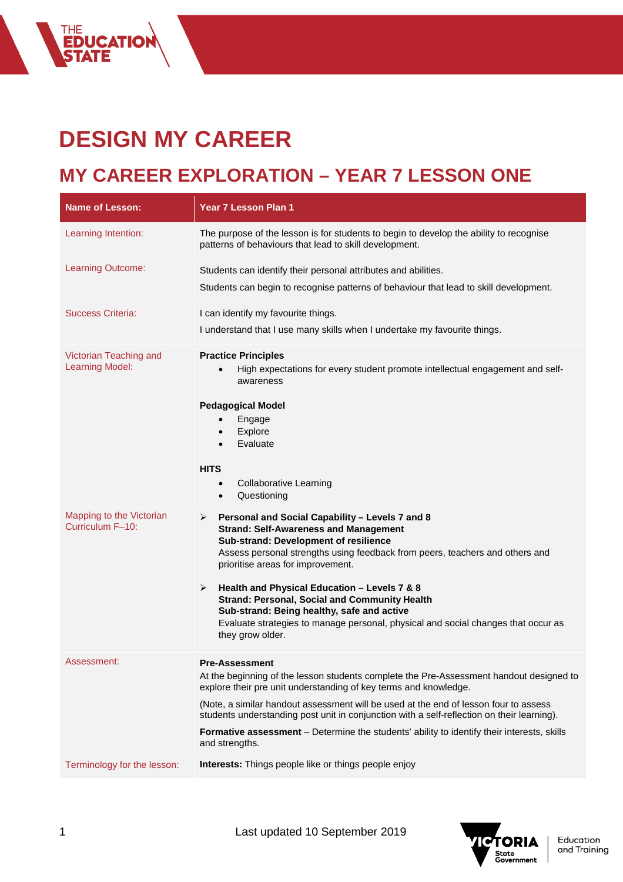## **DESIGN MY CAREER**

THE<br>**EDUCATION<br>STATE** 

## **MY CAREER EXPLORATION – YEAR 7 LESSON ONE**

| <b>Name of Lesson:</b>                           | Year 7 Lesson Plan 1                                                                                                                                                                                                                                                                                                                                                                                                                                                                                                                   |
|--------------------------------------------------|----------------------------------------------------------------------------------------------------------------------------------------------------------------------------------------------------------------------------------------------------------------------------------------------------------------------------------------------------------------------------------------------------------------------------------------------------------------------------------------------------------------------------------------|
| Learning Intention:                              | The purpose of the lesson is for students to begin to develop the ability to recognise<br>patterns of behaviours that lead to skill development.                                                                                                                                                                                                                                                                                                                                                                                       |
| Learning Outcome:                                | Students can identify their personal attributes and abilities.<br>Students can begin to recognise patterns of behaviour that lead to skill development.                                                                                                                                                                                                                                                                                                                                                                                |
| <b>Success Criteria:</b>                         | I can identify my favourite things.<br>I understand that I use many skills when I undertake my favourite things.                                                                                                                                                                                                                                                                                                                                                                                                                       |
| Victorian Teaching and<br><b>Learning Model:</b> | <b>Practice Principles</b><br>High expectations for every student promote intellectual engagement and self-<br>awareness<br><b>Pedagogical Model</b><br>Engage<br>$\bullet$<br>Explore<br>$\bullet$<br>Evaluate<br>$\bullet$<br><b>HITS</b><br><b>Collaborative Learning</b><br>$\bullet$<br>Questioning<br>$\bullet$                                                                                                                                                                                                                  |
| Mapping to the Victorian<br>Curriculum F-10:     | Personal and Social Capability - Levels 7 and 8<br>➤<br><b>Strand: Self-Awareness and Management</b><br>Sub-strand: Development of resilience<br>Assess personal strengths using feedback from peers, teachers and others and<br>prioritise areas for improvement.<br>Health and Physical Education - Levels 7 & 8<br>➤<br><b>Strand: Personal, Social and Community Health</b><br>Sub-strand: Being healthy, safe and active<br>Evaluate strategies to manage personal, physical and social changes that occur as<br>they grow older. |
| Assessment:                                      | <b>Pre-Assessment</b><br>At the beginning of the lesson students complete the Pre-Assessment handout designed to<br>explore their pre unit understanding of key terms and knowledge.<br>(Note, a similar handout assessment will be used at the end of lesson four to assess<br>students understanding post unit in conjunction with a self-reflection on their learning).<br>Formative assessment - Determine the students' ability to identify their interests, skills<br>and strengths.                                             |
| Terminology for the lesson:                      | Interests: Things people like or things people enjoy                                                                                                                                                                                                                                                                                                                                                                                                                                                                                   |

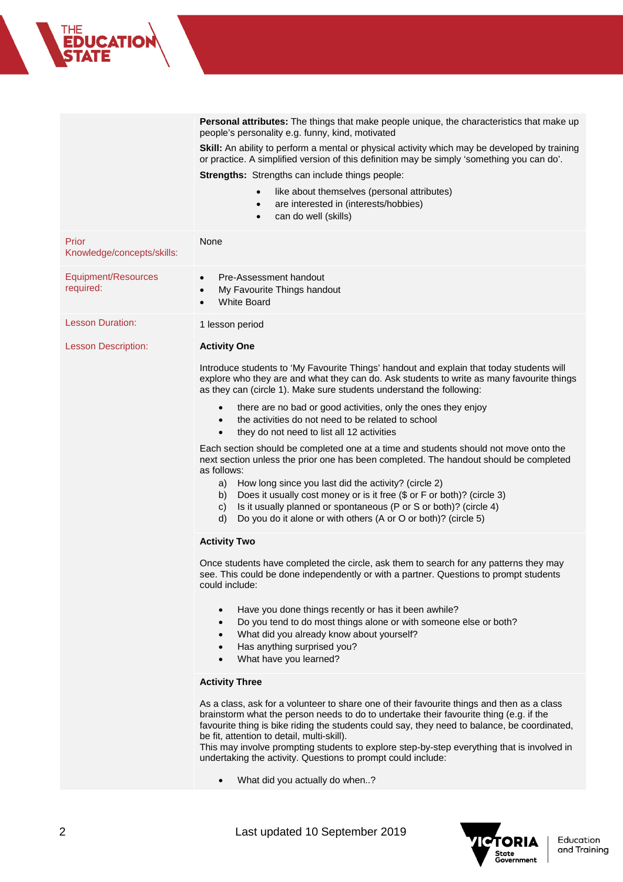| THE<br><b>EDUCATION<br/>ȘTATE</b> |                                                                                                                                                                                                    |
|-----------------------------------|----------------------------------------------------------------------------------------------------------------------------------------------------------------------------------------------------|
|                                   |                                                                                                                                                                                                    |
|                                   | <b>Personal attributes:</b> The things that make people unique, the characteristics that make up<br>people's personality e.g. funny, kind, motivated                                               |
|                                   | <b>Skill:</b> An ability to perform a mental or physical activity which may be developed by training<br>or practice. A simplified version of this definition may be simply 'something you can do'. |
|                                   | <b>Strengths:</b> Strengths can include things people:                                                                                                                                             |
|                                   | like about themselves (personal attributes)<br>$\bullet$<br>are interested in (interests/hobbies)                                                                                                  |

• can do well (skills)

|                                     | Call UU WEII (SNIIIS)                                                                                                                                                                                                                                                                                                                                                                                                                                                                                                                                                                                                                                                                                                                                                                                                                                                                                                                                                |
|-------------------------------------|----------------------------------------------------------------------------------------------------------------------------------------------------------------------------------------------------------------------------------------------------------------------------------------------------------------------------------------------------------------------------------------------------------------------------------------------------------------------------------------------------------------------------------------------------------------------------------------------------------------------------------------------------------------------------------------------------------------------------------------------------------------------------------------------------------------------------------------------------------------------------------------------------------------------------------------------------------------------|
| Prior<br>Knowledge/concepts/skills: | None                                                                                                                                                                                                                                                                                                                                                                                                                                                                                                                                                                                                                                                                                                                                                                                                                                                                                                                                                                 |
| Equipment/Resources<br>required:    | Pre-Assessment handout<br>$\bullet$<br>My Favourite Things handout<br>$\bullet$<br><b>White Board</b><br>$\bullet$                                                                                                                                                                                                                                                                                                                                                                                                                                                                                                                                                                                                                                                                                                                                                                                                                                                   |
| <b>Lesson Duration:</b>             | 1 lesson period                                                                                                                                                                                                                                                                                                                                                                                                                                                                                                                                                                                                                                                                                                                                                                                                                                                                                                                                                      |
| <b>Lesson Description:</b>          | <b>Activity One</b><br>Introduce students to 'My Favourite Things' handout and explain that today students will<br>explore who they are and what they can do. Ask students to write as many favourite things<br>as they can (circle 1). Make sure students understand the following:<br>there are no bad or good activities, only the ones they enjoy<br>the activities do not need to be related to school<br>they do not need to list all 12 activities<br>$\bullet$<br>Each section should be completed one at a time and students should not move onto the<br>next section unless the prior one has been completed. The handout should be completed<br>as follows:<br>a) How long since you last did the activity? (circle 2)<br>Does it usually cost money or is it free (\$ or F or both)? (circle 3)<br>b)<br>Is it usually planned or spontaneous (P or S or both)? (circle 4)<br>C)<br>Do you do it alone or with others (A or O or both)? (circle 5)<br>d) |
|                                     | <b>Activity Two</b><br>Once students have completed the circle, ask them to search for any patterns they may<br>see. This could be done independently or with a partner. Questions to prompt students<br>could include:<br>Have you done things recently or has it been awhile?<br>$\bullet$<br>Do you tend to do most things alone or with someone else or both?<br>$\bullet$<br>What did you already know about yourself?<br>$\bullet$<br>Has anything surprised you?<br>What have you learned?<br><b>Activity Three</b><br>As a class, ask for a volunteer to share one of their favourite things and then as a class<br>brainstorm what the person needs to do to undertake their favourite thing (e.g. if the                                                                                                                                                                                                                                                   |

brainstorm what the person needs to do to undertake their favourite thing (e.g. if the favourite thing is bike riding the students could say, they need to balance, be coordinated, be fit, attention to detail, multi-skill).

This may involve prompting students to explore step-by-step everything that is involved in undertaking the activity. Questions to prompt could include:

• What did you actually do when..?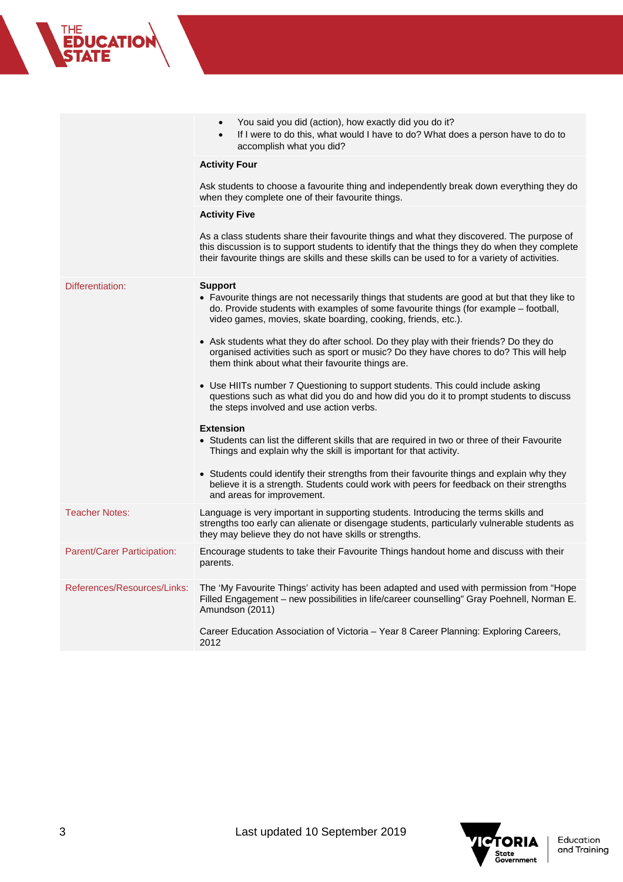|                             | You said you did (action), how exactly did you do it?<br>If I were to do this, what would I have to do? What does a person have to do to<br>$\bullet$<br>accomplish what you did?                                                                                                                 |
|-----------------------------|---------------------------------------------------------------------------------------------------------------------------------------------------------------------------------------------------------------------------------------------------------------------------------------------------|
|                             | <b>Activity Four</b>                                                                                                                                                                                                                                                                              |
|                             | Ask students to choose a favourite thing and independently break down everything they do<br>when they complete one of their favourite things.                                                                                                                                                     |
|                             | <b>Activity Five</b>                                                                                                                                                                                                                                                                              |
|                             | As a class students share their favourite things and what they discovered. The purpose of<br>this discussion is to support students to identify that the things they do when they complete<br>their favourite things are skills and these skills can be used to for a variety of activities.      |
| Differentiation:            | <b>Support</b><br>• Favourite things are not necessarily things that students are good at but that they like to<br>do. Provide students with examples of some favourite things (for example - football,<br>video games, movies, skate boarding, cooking, friends, etc.).                          |
|                             | • Ask students what they do after school. Do they play with their friends? Do they do<br>organised activities such as sport or music? Do they have chores to do? This will help<br>them think about what their favourite things are.                                                              |
|                             | • Use HIITs number 7 Questioning to support students. This could include asking<br>questions such as what did you do and how did you do it to prompt students to discuss<br>the steps involved and use action verbs.                                                                              |
|                             | <b>Extension</b><br>• Students can list the different skills that are required in two or three of their Favourite<br>Things and explain why the skill is important for that activity.                                                                                                             |
|                             | • Students could identify their strengths from their favourite things and explain why they<br>believe it is a strength. Students could work with peers for feedback on their strengths<br>and areas for improvement.                                                                              |
| <b>Teacher Notes:</b>       | Language is very important in supporting students. Introducing the terms skills and<br>strengths too early can alienate or disengage students, particularly vulnerable students as<br>they may believe they do not have skills or strengths.                                                      |
| Parent/Carer Participation: | Encourage students to take their Favourite Things handout home and discuss with their<br>parents.                                                                                                                                                                                                 |
| References/Resources/Links: | The 'My Favourite Things' activity has been adapted and used with permission from "Hope<br>Filled Engagement - new possibilities in life/career counselling" Gray Poehnell, Norman E.<br>Amundson (2011)<br>Career Education Association of Victoria – Year 8 Career Planning: Exploring Careers, |
|                             | 2012                                                                                                                                                                                                                                                                                              |



THE<br>**EDUCATION**<br>STATE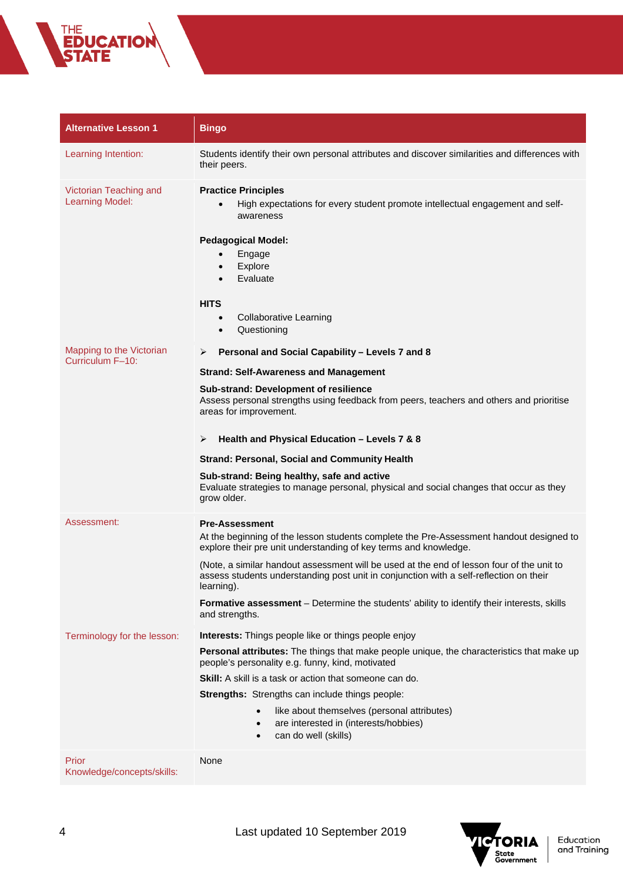| <b>Alternative Lesson 1</b>                      | <b>Bingo</b>                                                                                                                                                                                                                                                                  |
|--------------------------------------------------|-------------------------------------------------------------------------------------------------------------------------------------------------------------------------------------------------------------------------------------------------------------------------------|
| Learning Intention:                              | Students identify their own personal attributes and discover similarities and differences with<br>their peers.                                                                                                                                                                |
| Victorian Teaching and<br><b>Learning Model:</b> | <b>Practice Principles</b><br>High expectations for every student promote intellectual engagement and self-<br>awareness<br><b>Pedagogical Model:</b><br>Engage<br>Explore<br>$\bullet$<br>Evaluate<br>$\bullet$<br><b>HITS</b><br><b>Collaborative Learning</b><br>$\bullet$ |
|                                                  | Questioning<br>$\bullet$                                                                                                                                                                                                                                                      |
| Mapping to the Victorian<br>Curriculum F-10:     | Personal and Social Capability - Levels 7 and 8<br>➤                                                                                                                                                                                                                          |
|                                                  | <b>Strand: Self-Awareness and Management</b>                                                                                                                                                                                                                                  |
|                                                  | Sub-strand: Development of resilience<br>Assess personal strengths using feedback from peers, teachers and others and prioritise<br>areas for improvement.<br>Health and Physical Education - Levels 7 & 8<br>➤                                                               |
|                                                  | <b>Strand: Personal, Social and Community Health</b>                                                                                                                                                                                                                          |
|                                                  | Sub-strand: Being healthy, safe and active<br>Evaluate strategies to manage personal, physical and social changes that occur as they<br>grow older.                                                                                                                           |
| Assessment:                                      | <b>Pre-Assessment</b>                                                                                                                                                                                                                                                         |
|                                                  | At the beginning of the lesson students complete the Pre-Assessment handout designed to<br>explore their pre unit understanding of key terms and knowledge.                                                                                                                   |
|                                                  | (Note, a similar handout assessment will be used at the end of lesson four of the unit to<br>assess students understanding post unit in conjunction with a self-reflection on their<br>learning).                                                                             |
|                                                  | Formative assessment - Determine the students' ability to identify their interests, skills<br>and strengths.                                                                                                                                                                  |
| Terminology for the lesson:                      | Interests: Things people like or things people enjoy                                                                                                                                                                                                                          |
|                                                  | Personal attributes: The things that make people unique, the characteristics that make up<br>people's personality e.g. funny, kind, motivated                                                                                                                                 |
|                                                  | Skill: A skill is a task or action that someone can do.                                                                                                                                                                                                                       |
|                                                  | Strengths: Strengths can include things people:                                                                                                                                                                                                                               |
|                                                  | like about themselves (personal attributes)<br>$\bullet$<br>are interested in (interests/hobbies)<br>$\bullet$<br>can do well (skills)<br>$\bullet$                                                                                                                           |
| Prior<br>Knowledge/concepts/skills:              | None                                                                                                                                                                                                                                                                          |



THE<br>**EDUCATION**<br>**STATE**